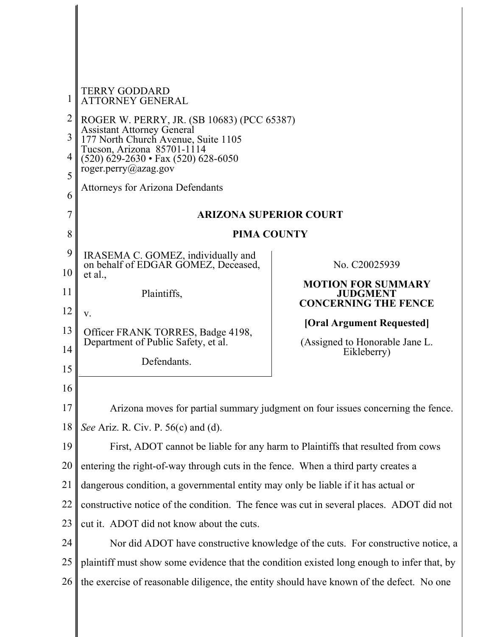| 1                    | <b>TERRY GODDARD</b><br><b>ATTORNEY GENERAL</b>                                                                                                                                                                       |                                                                                  |
|----------------------|-----------------------------------------------------------------------------------------------------------------------------------------------------------------------------------------------------------------------|----------------------------------------------------------------------------------|
| 2<br>3<br>4          | ROGER W. PERRY, JR. (SB 10683) (PCC 65387)<br><b>Assistant Attorney General</b><br>177 North Church Avenue, Suite 1105<br>Tucson, Arizona 85701-1114<br>$(520)$ 629-2630 • Fax (520) 628-6050<br>roger.perry@azag.gov |                                                                                  |
| 5<br>6               | <b>Attorneys for Arizona Defendants</b>                                                                                                                                                                               |                                                                                  |
| 7                    | <b>ARIZONA SUPERIOR COURT</b>                                                                                                                                                                                         |                                                                                  |
| 8                    | <b>PIMA COUNTY</b>                                                                                                                                                                                                    |                                                                                  |
| 9<br>10              | IRASEMA C. GOMEZ, individually and<br>on behalf of EDGAR GOMEZ, Deceased,<br>et al.,                                                                                                                                  | No. C20025939                                                                    |
| 11                   | Plaintiffs,                                                                                                                                                                                                           | <b>MOTION FOR SUMMARY</b><br><b>JUDGMENT</b><br><b>CONCERNING THE FENCE</b>      |
| 12<br>13<br>14<br>15 | V.<br>Officer FRANK TORRES, Badge 4198,<br>Department of Public Safety, et al.<br>Defendants.                                                                                                                         | [Oral Argument Requested]<br>(Assigned to Honorable Jane L.<br>Eikleberry)       |
| 16                   |                                                                                                                                                                                                                       |                                                                                  |
| 17                   |                                                                                                                                                                                                                       | Arizona moves for partial summary judgment on four issues concerning the fence.  |
| 18                   | See Ariz. R. Civ. P. 56(c) and (d).                                                                                                                                                                                   |                                                                                  |
| 19                   |                                                                                                                                                                                                                       | First, ADOT cannot be liable for any harm to Plaintiffs that resulted from cows  |
| 20                   | entering the right-of-way through cuts in the fence. When a third party creates a                                                                                                                                     |                                                                                  |
| 21                   | dangerous condition, a governmental entity may only be liable if it has actual or                                                                                                                                     |                                                                                  |
| 22                   | constructive notice of the condition. The fence was cut in several places. ADOT did not                                                                                                                               |                                                                                  |
| 23                   | cut it. ADOT did not know about the cuts.                                                                                                                                                                             |                                                                                  |
| 24                   |                                                                                                                                                                                                                       | Nor did ADOT have constructive knowledge of the cuts. For constructive notice, a |
| 25                   | plaintiff must show some evidence that the condition existed long enough to infer that, by                                                                                                                            |                                                                                  |
| 26                   | the exercise of reasonable diligence, the entity should have known of the defect. No one                                                                                                                              |                                                                                  |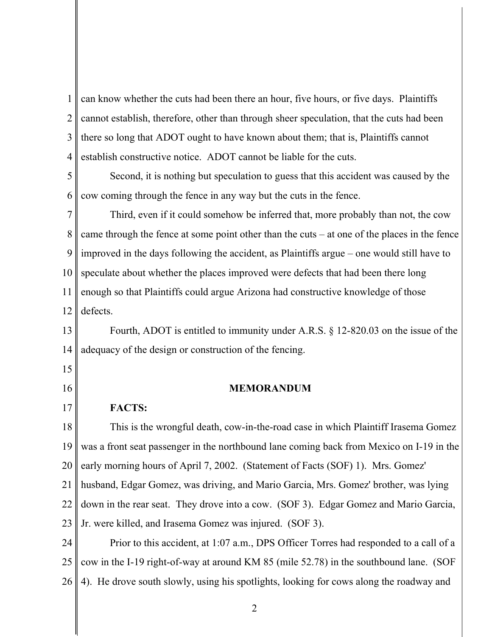1 2 3 4 can know whether the cuts had been there an hour, five hours, or five days. Plaintiffs cannot establish, therefore, other than through sheer speculation, that the cuts had been there so long that ADOT ought to have known about them; that is, Plaintiffs cannot establish constructive notice. ADOT cannot be liable for the cuts.

5 6 Second, it is nothing but speculation to guess that this accident was caused by the cow coming through the fence in any way but the cuts in the fence.

7 8 9 10 11 12 Third, even if it could somehow be inferred that, more probably than not, the cow came through the fence at some point other than the cuts – at one of the places in the fence improved in the days following the accident, as Plaintiffs argue – one would still have to speculate about whether the places improved were defects that had been there long enough so that Plaintiffs could argue Arizona had constructive knowledge of those defects.

13 14 Fourth, ADOT is entitled to immunity under A.R.S. § 12-820.03 on the issue of the adequacy of the design or construction of the fencing.

15 16

17

MEMORANDUM

FACTS:

18 19 20 21 22 23 This is the wrongful death, cow-in-the-road case in which Plaintiff Irasema Gomez was a front seat passenger in the northbound lane coming back from Mexico on I-19 in the early morning hours of April 7, 2002. (Statement of Facts (SOF) 1). Mrs. Gomez' husband, Edgar Gomez, was driving, and Mario Garcia, Mrs. Gomez' brother, was lying down in the rear seat. They drove into a cow. (SOF 3). Edgar Gomez and Mario Garcia, Jr. were killed, and Irasema Gomez was injured. (SOF 3).

24 25 26 Prior to this accident, at 1:07 a.m., DPS Officer Torres had responded to a call of a cow in the I-19 right-of-way at around KM 85 (mile 52.78) in the southbound lane. (SOF 4). He drove south slowly, using his spotlights, looking for cows along the roadway and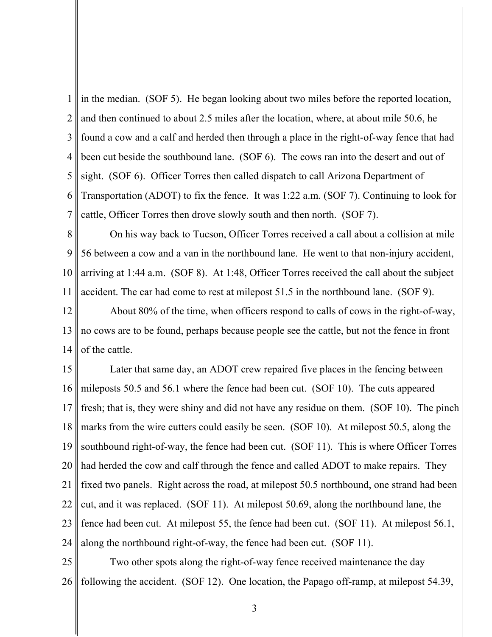1 2 3 4 5 6 7 in the median. (SOF 5). He began looking about two miles before the reported location, and then continued to about 2.5 miles after the location, where, at about mile 50.6, he found a cow and a calf and herded then through a place in the right-of-way fence that had been cut beside the southbound lane. (SOF 6). The cows ran into the desert and out of sight. (SOF 6). Officer Torres then called dispatch to call Arizona Department of Transportation (ADOT) to fix the fence. It was 1:22 a.m. (SOF 7). Continuing to look for cattle, Officer Torres then drove slowly south and then north. (SOF 7).

8 9 10 11 On his way back to Tucson, Officer Torres received a call about a collision at mile 56 between a cow and a van in the northbound lane. He went to that non-injury accident, arriving at 1:44 a.m. (SOF 8). At 1:48, Officer Torres received the call about the subject accident. The car had come to rest at milepost 51.5 in the northbound lane. (SOF 9).

12 13 14 About 80% of the time, when officers respond to calls of cows in the right-of-way, no cows are to be found, perhaps because people see the cattle, but not the fence in front of the cattle.

15 16 17 18 19 20 21 22 23 24 Later that same day, an ADOT crew repaired five places in the fencing between mileposts 50.5 and 56.1 where the fence had been cut. (SOF 10). The cuts appeared fresh; that is, they were shiny and did not have any residue on them. (SOF 10). The pinch marks from the wire cutters could easily be seen. (SOF 10). At milepost 50.5, along the southbound right-of-way, the fence had been cut. (SOF 11). This is where Officer Torres had herded the cow and calf through the fence and called ADOT to make repairs. They fixed two panels. Right across the road, at milepost 50.5 northbound, one strand had been cut, and it was replaced. (SOF 11). At milepost 50.69, along the northbound lane, the fence had been cut. At milepost 55, the fence had been cut. (SOF 11). At milepost 56.1, along the northbound right-of-way, the fence had been cut. (SOF 11).

25 26 Two other spots along the right-of-way fence received maintenance the day following the accident. (SOF 12). One location, the Papago off-ramp, at milepost 54.39,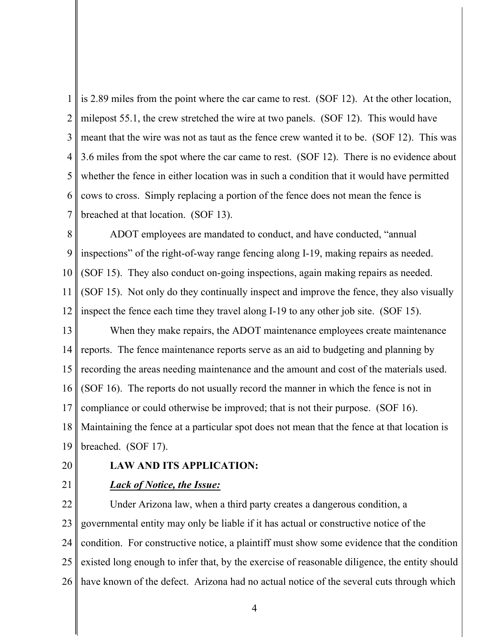1 2 3 4 5 6 7 is 2.89 miles from the point where the car came to rest. (SOF 12). At the other location, milepost 55.1, the crew stretched the wire at two panels. (SOF 12). This would have meant that the wire was not as taut as the fence crew wanted it to be. (SOF 12). This was 3.6 miles from the spot where the car came to rest. (SOF 12). There is no evidence about whether the fence in either location was in such a condition that it would have permitted cows to cross. Simply replacing a portion of the fence does not mean the fence is breached at that location. (SOF 13).

8 9 10 11 12 ADOT employees are mandated to conduct, and have conducted, "annual inspections" of the right-of-way range fencing along I-19, making repairs as needed. (SOF 15). They also conduct on-going inspections, again making repairs as needed. (SOF 15). Not only do they continually inspect and improve the fence, they also visually inspect the fence each time they travel along I-19 to any other job site. (SOF 15).

13 14 15 16 17 18 19 When they make repairs, the ADOT maintenance employees create maintenance reports. The fence maintenance reports serve as an aid to budgeting and planning by recording the areas needing maintenance and the amount and cost of the materials used. (SOF 16). The reports do not usually record the manner in which the fence is not in compliance or could otherwise be improved; that is not their purpose. (SOF 16). Maintaining the fence at a particular spot does not mean that the fence at that location is breached. (SOF 17).

20

# LAW AND ITS APPLICATION:

21

### Lack of Notice, the Issue:

22 23 24 25 26 Under Arizona law, when a third party creates a dangerous condition, a governmental entity may only be liable if it has actual or constructive notice of the condition. For constructive notice, a plaintiff must show some evidence that the condition existed long enough to infer that, by the exercise of reasonable diligence, the entity should have known of the defect. Arizona had no actual notice of the several cuts through which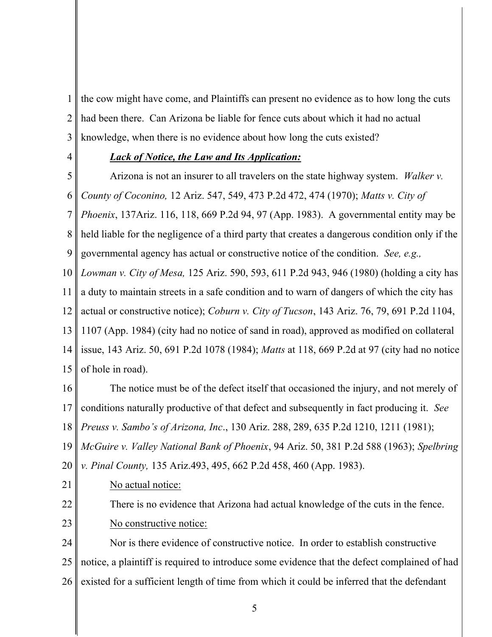1 2 3 the cow might have come, and Plaintiffs can present no evidence as to how long the cuts had been there. Can Arizona be liable for fence cuts about which it had no actual knowledge, when there is no evidence about how long the cuts existed?

4

# Lack of Notice, the Law and Its Application:

5 6 7 8 9 Arizona is not an insurer to all travelers on the state highway system. Walker v. County of Coconino, 12 Ariz. 547, 549, 473 P.2d 472, 474 (1970); Matts v. City of Phoenix, 137Ariz. 116, 118, 669 P.2d 94, 97 (App. 1983). A governmental entity may be held liable for the negligence of a third party that creates a dangerous condition only if the governmental agency has actual or constructive notice of the condition. See, e.g.,

10 11 12 13 14 15 Lowman v. City of Mesa, 125 Ariz. 590, 593, 611 P.2d 943, 946 (1980) (holding a city has a duty to maintain streets in a safe condition and to warn of dangers of which the city has actual or constructive notice); Coburn v. City of Tucson, 143 Ariz. 76, 79, 691 P.2d 1104, 1107 (App. 1984) (city had no notice of sand in road), approved as modified on collateral issue, 143 Ariz. 50, 691 P.2d 1078 (1984); Matts at 118, 669 P.2d at 97 (city had no notice of hole in road).

16 17 18 The notice must be of the defect itself that occasioned the injury, and not merely of conditions naturally productive of that defect and subsequently in fact producing it. See Preuss v. Sambo's of Arizona, Inc., 130 Ariz. 288, 289, 635 P.2d 1210, 1211 (1981);

19 McGuire v. Valley National Bank of Phoenix, 94 Ariz. 50, 381 P.2d 588 (1963); Spelbring

20 v. Pinal County, 135 Ariz.493, 495, 662 P.2d 458, 460 (App. 1983).

21

No actual notice:

22 23 There is no evidence that Arizona had actual knowledge of the cuts in the fence. No constructive notice:

24 25 26 Nor is there evidence of constructive notice. In order to establish constructive notice, a plaintiff is required to introduce some evidence that the defect complained of had existed for a sufficient length of time from which it could be inferred that the defendant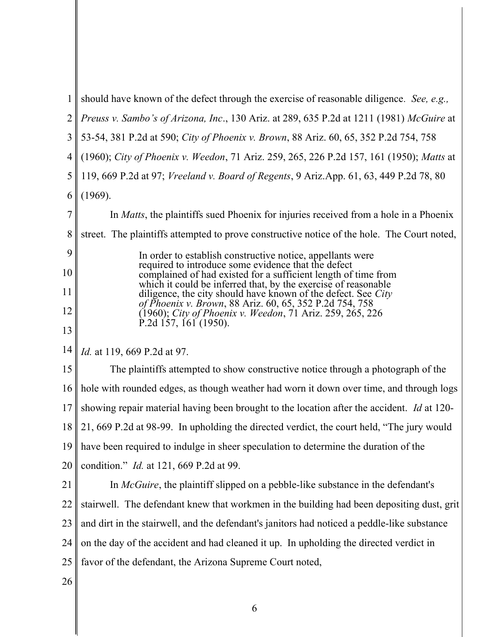| 1              | should have known of the defect through the exercise of reasonable diligence. See, e.g.,                                     |
|----------------|------------------------------------------------------------------------------------------------------------------------------|
| $\overline{2}$ | Preuss v. Sambo's of Arizona, Inc., 130 Ariz. at 289, 635 P.2d at 1211 (1981) McGuire at                                     |
| 3              | 53-54, 381 P.2d at 590; City of Phoenix v. Brown, 88 Ariz. 60, 65, 352 P.2d 754, 758                                         |
| $\overline{4}$ | (1960); City of Phoenix v. Weedon, 71 Ariz. 259, 265, 226 P.2d 157, 161 (1950); Matts at                                     |
| 5              | 119, 669 P.2d at 97; Vreeland v. Board of Regents, 9 Ariz.App. 61, 63, 449 P.2d 78, 80                                       |
| 6              | (1969).                                                                                                                      |
| 7              | In Matts, the plaintiffs sued Phoenix for injuries received from a hole in a Phoenix                                         |
| 8              | street. The plaintiffs attempted to prove constructive notice of the hole. The Court noted,                                  |
| 9              | In order to establish constructive notice, appellants were                                                                   |
| 10             | required to introduce some evidence that the defect<br>complained of had existed for a sufficient length of time from        |
| 11             | which it could be inferred that, by the exercise of reasonable diligence, the city should have known of the defect. See City |
| 12             | of Phoenix v. Brown, 88 Ariz. 60, 65, 352 P.2d 754, 758<br>(1960); City of Phoenix v. Weedon, 71 Ariz. 259, 265, 226         |
| 13             | P.2d $157, 161$ (1950).                                                                                                      |
| 14             | Id. at 119, 669 P.2d at 97.                                                                                                  |
| 15             | The plaintiffs attempted to show constructive notice through a photograph of the                                             |
| 16             | hole with rounded edges, as though weather had worn it down over time, and through logs                                      |
| 17             | showing repair material having been brought to the location after the accident. Id at 120-                                   |
|                | 18   21, 669 P.2d at 98-99. In upholding the directed verdict, the court held, "The jury would                               |
| 19             | have been required to indulge in sheer speculation to determine the duration of the                                          |
| 20             | condition." <i>Id.</i> at 121, 669 P.2d at 99.                                                                               |
| 21             | In McGuire, the plaintiff slipped on a pebble-like substance in the defendant's                                              |
| 22             | stairwell. The defendant knew that workmen in the building had been depositing dust, grit                                    |
| 23             | and dirt in the stairwell, and the defendant's janitors had noticed a peddle-like substance                                  |
| 24             | on the day of the accident and had cleaned it up. In upholding the directed verdict in                                       |
| 25             | favor of the defendant, the Arizona Supreme Court noted,                                                                     |
| 26             |                                                                                                                              |
|                |                                                                                                                              |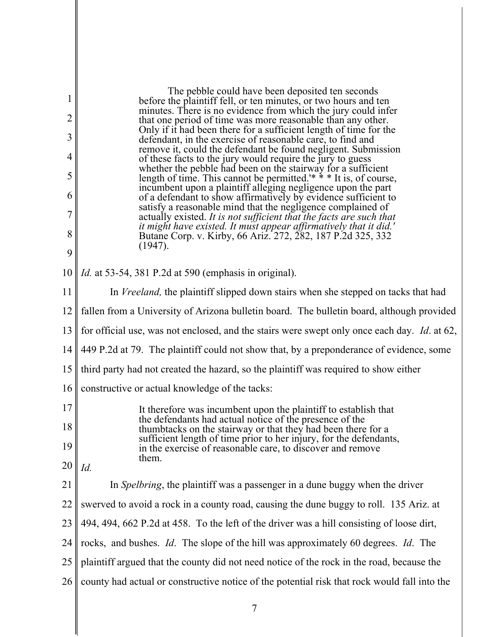| 1<br>$\overline{2}$ | The pebble could have been deposited ten seconds<br>before the plaintiff fell, or ten minutes, or two hours and ten<br>minutes. There is no evidence from which the jury could infer                      |
|---------------------|-----------------------------------------------------------------------------------------------------------------------------------------------------------------------------------------------------------|
| 3                   | that one period of time was more reasonable than any other.<br>Only if it had been there for a sufficient length of time for the                                                                          |
|                     | defendant, in the exercise of reasonable care, to find and<br>remove it, could the defendant be found negligent. Submission                                                                               |
| 4                   | of these facts to the jury would require the jury to guess<br>whether the pebble had been on the stairway for a sufficient<br>length of time. This cannot be permitted. <sup>**</sup> * It is, of course, |
| 5                   | incumbent upon a plaintiff alleging negligence upon the part                                                                                                                                              |
| 6                   | of a defendant to show affirmatively by evidence sufficient to satisfy a reasonable mind that the negligence complained of                                                                                |
| 7                   | actually existed. It is not sufficient that the facts are such that<br>it might have existed. It must appear affirmatively that it did.'                                                                  |
| 8                   | Butane Corp. v. Kirby, 66 Ariz. 272, 282, 187 P.2d 325, 332<br>(1947).                                                                                                                                    |
| 9                   |                                                                                                                                                                                                           |
| 10                  | <i>Id.</i> at 53-54, 381 P.2d at 590 (emphasis in original).                                                                                                                                              |
| 11                  | In <i>Vreeland</i> , the plaintiff slipped down stairs when she stepped on tacks that had                                                                                                                 |
| 12                  | fallen from a University of Arizona bulletin board. The bulletin board, although provided                                                                                                                 |
| 13                  | for official use, was not enclosed, and the stairs were swept only once each day. Id. at 62,                                                                                                              |
|                     | 14    449 P.2d at 79. The plaintiff could not show that, by a preponderance of evidence, some                                                                                                             |
| 15                  | third party had not created the hazard, so the plaintiff was required to show either                                                                                                                      |
| 16                  | constructive or actual knowledge of the tacks:                                                                                                                                                            |
| 17                  | It therefore was incumbent upon the plaintiff to establish that                                                                                                                                           |
| 18                  | the defendants had actual notice of the presence of the<br>thumbtacks on the stairway or that they had been there for a                                                                                   |
| 19                  | sufficient length of time prior to her injury, for the defendants,<br>in the exercise of reasonable care, to discover and remove                                                                          |
| 20                  | them.<br>Id.                                                                                                                                                                                              |
| 21                  | In <i>Spelbring</i> , the plaintiff was a passenger in a dune buggy when the driver                                                                                                                       |
| 22                  | swerved to avoid a rock in a county road, causing the dune buggy to roll. 135 Ariz. at                                                                                                                    |
| 23                  | 494, 494, 662 P.2d at 458. To the left of the driver was a hill consisting of loose dirt,                                                                                                                 |
| 24                  | rocks, and bushes. <i>Id</i> . The slope of the hill was approximately 60 degrees. <i>Id</i> . The                                                                                                        |
| 25                  | plaintiff argued that the county did not need notice of the rock in the road, because the                                                                                                                 |
| 26                  | county had actual or constructive notice of the potential risk that rock would fall into the                                                                                                              |
|                     |                                                                                                                                                                                                           |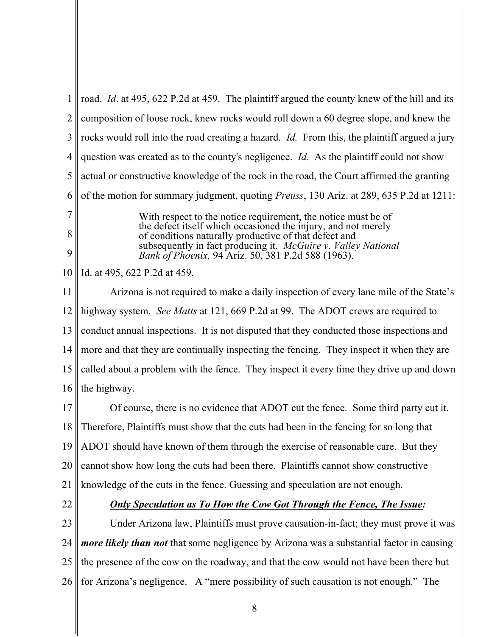| $\mathbf{1}$   | road. <i>Id.</i> at 495, 622 P.2d at 459. The plaintiff argued the county knew of the hill and its                                                                                                                                                                                                             |
|----------------|----------------------------------------------------------------------------------------------------------------------------------------------------------------------------------------------------------------------------------------------------------------------------------------------------------------|
| $\overline{2}$ | composition of loose rock, knew rocks would roll down a 60 degree slope, and knew the                                                                                                                                                                                                                          |
| 3              | rocks would roll into the road creating a hazard. <i>Id</i> . From this, the plaintiff argued a jury                                                                                                                                                                                                           |
| 4              | question was created as to the county's negligence. <i>Id</i> . As the plaintiff could not show                                                                                                                                                                                                                |
| 5              | actual or constructive knowledge of the rock in the road, the Court affirmed the granting                                                                                                                                                                                                                      |
| 6              | of the motion for summary judgment, quoting <i>Preuss</i> , 130 Ariz. at 289, 635 P.2d at 1211:                                                                                                                                                                                                                |
| 7<br>8<br>9    | With respect to the notice requirement, the notice must be of<br>the defect itself which occasioned the injury, and not merely<br>of conditions naturally productive of that defect and<br>subsequently in fact producing it. McGuire v. Valley National<br>Bank of Phoenix, 94 Ariz. 50, 381 P.2d 588 (1963). |
| 10             | Id. at 495, 622 P.2d at 459.                                                                                                                                                                                                                                                                                   |
| 11             | Arizona is not required to make a daily inspection of every lane mile of the State's                                                                                                                                                                                                                           |
| 12             | highway system. See Matts at 121, 669 P.2d at 99. The ADOT crews are required to                                                                                                                                                                                                                               |
| 13             | conduct annual inspections. It is not disputed that they conducted those inspections and                                                                                                                                                                                                                       |
| 14             | more and that they are continually inspecting the fencing. They inspect it when they are                                                                                                                                                                                                                       |
| 15             | called about a problem with the fence. They inspect it every time they drive up and down                                                                                                                                                                                                                       |
| 16             | the highway.                                                                                                                                                                                                                                                                                                   |
| 17             | Of course, there is no evidence that ADOT cut the fence. Some third party cut it.                                                                                                                                                                                                                              |
| 18             | Therefore, Plaintiffs must show that the cuts had been in the fencing for so long that                                                                                                                                                                                                                         |
| 19             | ADOT should have known of them through the exercise of reasonable care. But they                                                                                                                                                                                                                               |
| 20             | cannot show how long the cuts had been there. Plaintiffs cannot show constructive                                                                                                                                                                                                                              |
| 21             | knowledge of the cuts in the fence. Guessing and speculation are not enough.                                                                                                                                                                                                                                   |
| 22             | <b>Only Speculation as To How the Cow Got Through the Fence, The Issue:</b>                                                                                                                                                                                                                                    |
| 23             | Under Arizona law, Plaintiffs must prove causation-in-fact; they must prove it was                                                                                                                                                                                                                             |
| 24             | <i>more likely than not</i> that some negligence by Arizona was a substantial factor in causing                                                                                                                                                                                                                |
| 25             | the presence of the cow on the roadway, and that the cow would not have been there but                                                                                                                                                                                                                         |
|                |                                                                                                                                                                                                                                                                                                                |

26 for Arizona's negligence. A "mere possibility of such causation is not enough." The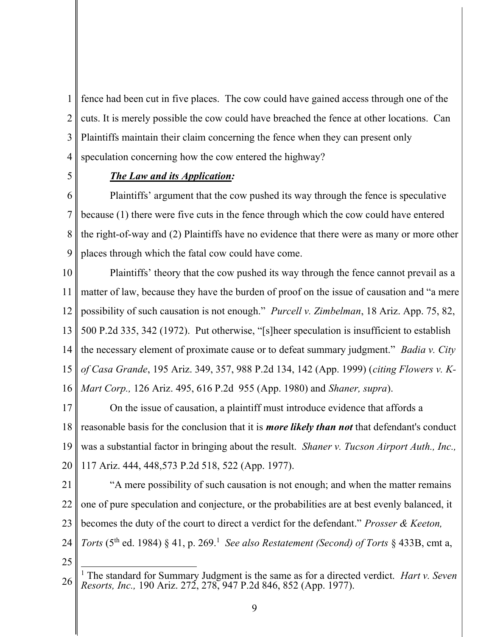1 2 3 4 fence had been cut in five places. The cow could have gained access through one of the cuts. It is merely possible the cow could have breached the fence at other locations. Can Plaintiffs maintain their claim concerning the fence when they can present only speculation concerning how the cow entered the highway?

5

### The Law and its Application:

6 7 8 9 Plaintiffs' argument that the cow pushed its way through the fence is speculative because (1) there were five cuts in the fence through which the cow could have entered the right-of-way and (2) Plaintiffs have no evidence that there were as many or more other places through which the fatal cow could have come.

10 11 12 13 14 15 16 Plaintiffs' theory that the cow pushed its way through the fence cannot prevail as a matter of law, because they have the burden of proof on the issue of causation and "a mere possibility of such causation is not enough." Purcell v. Zimbelman, 18 Ariz. App. 75, 82, 500 P.2d 335, 342 (1972). Put otherwise, "[s]heer speculation is insufficient to establish the necessary element of proximate cause or to defeat summary judgment." *Badia v. City* of Casa Grande, 195 Ariz. 349, 357, 988 P.2d 134, 142 (App. 1999) (citing Flowers v. K-Mart Corp., 126 Ariz. 495, 616 P.2d 955 (App. 1980) and Shaner, supra).

17 18 19 20 On the issue of causation, a plaintiff must introduce evidence that affords a reasonable basis for the conclusion that it is *more likely than not* that defendant's conduct was a substantial factor in bringing about the result. Shaner v. Tucson Airport Auth., Inc., 117 Ariz. 444, 448,573 P.2d 518, 522 (App. 1977).

21

22 23 24 "A mere possibility of such causation is not enough; and when the matter remains one of pure speculation and conjecture, or the probabilities are at best evenly balanced, it becomes the duty of the court to direct a verdict for the defendant." *Prosser & Keeton*, Torts (5<sup>th</sup> ed. 1984) § 41, p. 269.<sup>1</sup> See also Restatement (Second) of Torts § 433B, cmt a,

25

<sup>26</sup> <sup>1</sup> The standard for Summary Judgment is the same as for a directed verdict. *Hart v. Seven* Resorts, Inc., 190 Ariz. 272, 278, 947 P.2d 846, 852 (App. 1977).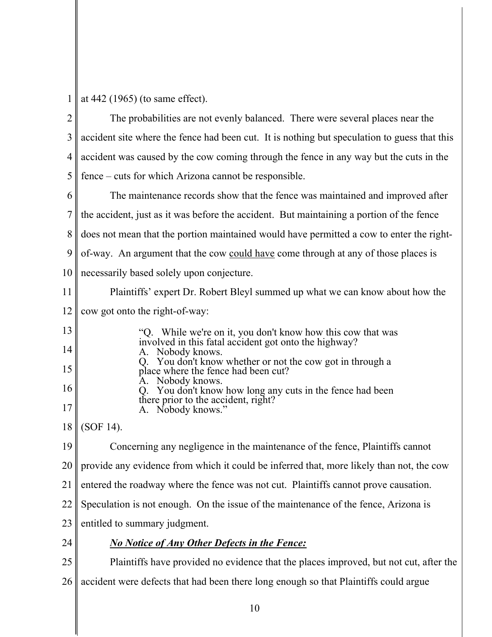| 1              | at $442$ (1965) (to same effect).                                                                |
|----------------|--------------------------------------------------------------------------------------------------|
| $\overline{2}$ | The probabilities are not evenly balanced. There were several places near the                    |
| 3              | accident site where the fence had been cut. It is nothing but speculation to guess that this     |
| $\overline{4}$ | accident was caused by the cow coming through the fence in any way but the cuts in the           |
| 5              | fence – cuts for which Arizona cannot be responsible.                                            |
| 6              | The maintenance records show that the fence was maintained and improved after                    |
| 7              | the accident, just as it was before the accident. But maintaining a portion of the fence         |
| 8              | does not mean that the portion maintained would have permitted a cow to enter the right-         |
| 9              | of-way. An argument that the cow could have come through at any of those places is               |
| 10             | necessarily based solely upon conjecture.                                                        |
| 11             | Plaintiffs' expert Dr. Robert Bleyl summed up what we can know about how the                     |
| 12             | cow got onto the right-of-way:                                                                   |
| 13             | "Q. While we're on it, you don't know how this cow that was                                      |
| 14             | involved in this fatal accident got onto the highway?<br>Nobody knows.                           |
| 15             | Q. You don't know whether or not the cow got in through a<br>place where the fence had been cut? |
| 16             | Nobody knows.<br>You don't know how long any cuts in the fence had been                          |
| 17             | there prior to the accident, right?<br>Nobody knows."<br>A.                                      |
| 18             | $(SOF 14)$ .                                                                                     |
| 19             | Concerning any negligence in the maintenance of the fence, Plaintiffs cannot                     |
| 20             | provide any evidence from which it could be inferred that, more likely than not, the cow         |
| 21             | entered the roadway where the fence was not cut. Plaintiffs cannot prove causation.              |
| 22             | Speculation is not enough. On the issue of the maintenance of the fence, Arizona is              |
| 23             | entitled to summary judgment.                                                                    |
| 24             | <b>No Notice of Any Other Defects in the Fence:</b>                                              |
| 25             | Plaintiffs have provided no evidence that the places improved, but not cut, after the            |
| 26             | accident were defects that had been there long enough so that Plaintiffs could argue             |
|                |                                                                                                  |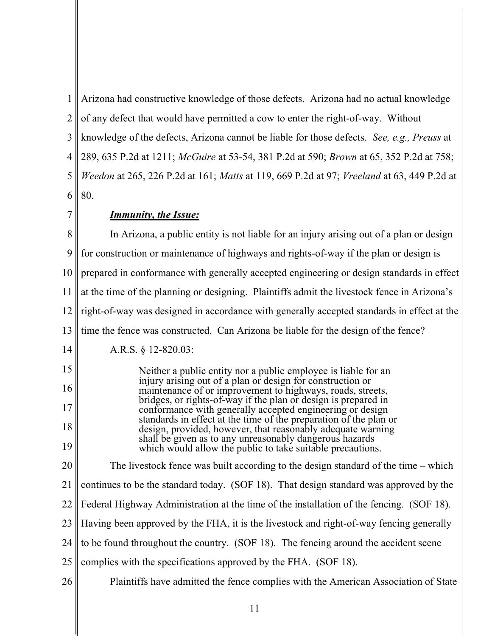1 2 3 4 5 6 Arizona had constructive knowledge of those defects. Arizona had no actual knowledge of any defect that would have permitted a cow to enter the right-of-way. Without knowledge of the defects, Arizona cannot be liable for those defects. See, e.g., Preuss at 289, 635 P.2d at 1211; McGuire at 53-54, 381 P.2d at 590; Brown at 65, 352 P.2d at 758; Weedon at 265, 226 P.2d at 161; Matts at 119, 669 P.2d at 97; Vreeland at 63, 449 P.2d at 80.

7

# Immunity, the Issue:

8 9 10 11 12 13 In Arizona, a public entity is not liable for an injury arising out of a plan or design for construction or maintenance of highways and rights-of-way if the plan or design is prepared in conformance with generally accepted engineering or design standards in effect at the time of the planning or designing. Plaintiffs admit the livestock fence in Arizona's right-of-way was designed in accordance with generally accepted standards in effect at the time the fence was constructed. Can Arizona be liable for the design of the fence?

14 A.R.S. § 12-820.03:

15 16 17 18 19 Neither a public entity nor a public employee is liable for an injury arising out of a plan or design for construction or maintenance of or improvement to highways, roads, streets, bridges, or rights-of-way if the plan or design is prepared in conformance with generally accepted engineering or design standards in effect at the time of the preparation of the plan or design, provided, however, that reasonably adequate warning shall be given as to any unreasonably dangerous hazards which would allow the public to take suitable precautions.

20 21 22 23 24 The livestock fence was built according to the design standard of the time – which continues to be the standard today. (SOF 18). That design standard was approved by the Federal Highway Administration at the time of the installation of the fencing. (SOF 18). Having been approved by the FHA, it is the livestock and right-of-way fencing generally to be found throughout the country. (SOF 18). The fencing around the accident scene

- 25 complies with the specifications approved by the FHA. (SOF 18).
- 26 Plaintiffs have admitted the fence complies with the American Association of State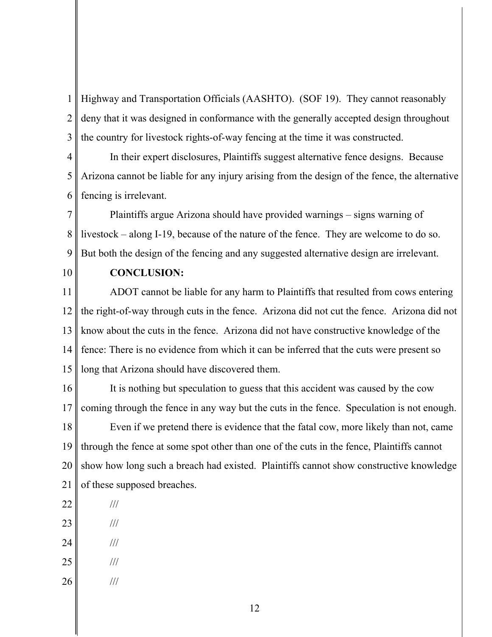1 2 3 Highway and Transportation Officials (AASHTO). (SOF 19). They cannot reasonably deny that it was designed in conformance with the generally accepted design throughout the country for livestock rights-of-way fencing at the time it was constructed.

4 5 6 In their expert disclosures, Plaintiffs suggest alternative fence designs. Because Arizona cannot be liable for any injury arising from the design of the fence, the alternative fencing is irrelevant.

7 8 9 Plaintiffs argue Arizona should have provided warnings – signs warning of livestock – along I-19, because of the nature of the fence. They are welcome to do so. But both the design of the fencing and any suggested alternative design are irrelevant.

10

#### CONCLUSION:

11 12 13 14 15 ADOT cannot be liable for any harm to Plaintiffs that resulted from cows entering the right-of-way through cuts in the fence. Arizona did not cut the fence. Arizona did not know about the cuts in the fence. Arizona did not have constructive knowledge of the fence: There is no evidence from which it can be inferred that the cuts were present so long that Arizona should have discovered them.

16 17 18 19 20 21 It is nothing but speculation to guess that this accident was caused by the cow coming through the fence in any way but the cuts in the fence. Speculation is not enough. Even if we pretend there is evidence that the fatal cow, more likely than not, came through the fence at some spot other than one of the cuts in the fence, Plaintiffs cannot show how long such a breach had existed. Plaintiffs cannot show constructive knowledge of these supposed breaches.

- 22
- 23 ///

///

- 24 ///
- 25 ///
- 26 ///